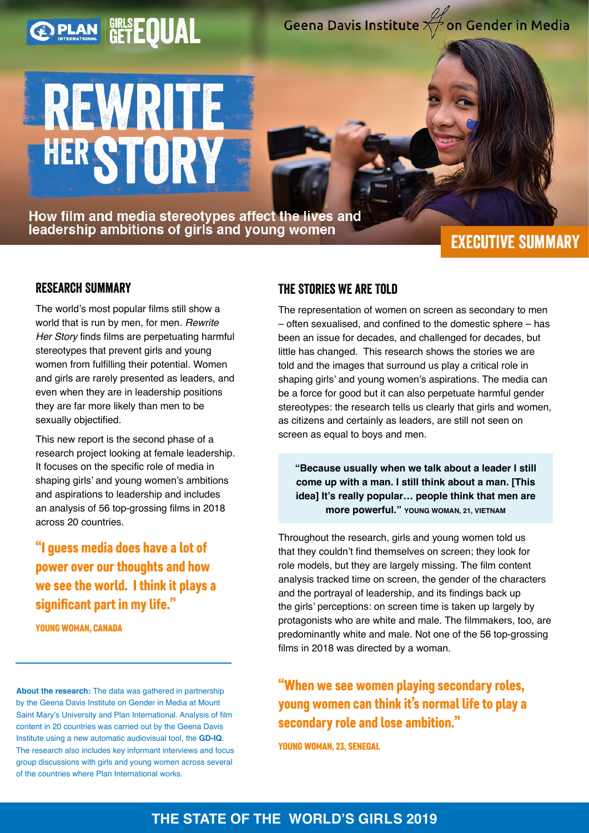# Geena Davis Institute of on Gender in Media

# **LREWRITE HERSTORY**

**PLAN GETEQUAL** 

How film and media stereotypes affect the lives and leadership ambitions of girls and young women

# **EXECUTIVE SUMMARY**

#### Research Summary

The world's most popular films still show a world that is run by men, for men. *Rewrite Her Story* finds films are perpetuating harmful stereotypes that prevent girls and young women from fulfilling their potential. Women and girls are rarely presented as leaders, and even when they are in leadership positions they are far more likely than men to be sexually objectified.

This new report is the second phase of a research project looking at female leadership. It focuses on the specific role of media in shaping girls' and young women's ambitions and aspirations to leadership and includes an analysis of 56 top-grossing films in 2018 across 20 countries.

"I guess media does have a lot of power over our thoughts and how we see the world. I think it plays a significant part in my life."

YOUNG WOMAN, CANADA

**About the research:** The data was gathered in partnership by the Geena Davis Institute on Gender in Media at Mount Saint Mary's University and Plan International. Analysis of film content in 20 countries was carried out by the Geena Davis Institute using a new automatic audiovisual tool, the **GD-IQ**. The research also includes key informant interviews and focus group discussions with girls and young women across several of the countries where Plan International works.

#### The Stories We are Told

The representation of women on screen as secondary to men – often sexualised, and confined to the domestic sphere – has been an issue for decades, and challenged for decades, but little has changed. This research shows the stories we are told and the images that surround us play a critical role in shaping girls' and young women's aspirations. The media can be a force for good but it can also perpetuate harmful gender stereotypes: the research tells us clearly that girls and women. as citizens and certainly as leaders, are still not seen on screen as equal to boys and men.

**"Because usually when we talk about a leader I still come up with a man. I still think about a man. [This idea] It's really popular… people think that men are more powerful." YOUNG WOMAN, 21, VIETNAM** 

Throughout the research, girls and young women told us that they couldn't find themselves on screen; they look for role models, but they are largely missing. The film content analysis tracked time on screen, the gender of the characters and the portrayal of leadership, and its findings back up the girls' perceptions: on screen time is taken up largely by protagonists who are white and male. The filmmakers, too, are predominantly white and male. Not one of the 56 top-grossing films in 2018 was directed by a woman.

## "When we see women playing secondary roles, young women can think it's normal life to play a secondary role and lose ambition."

YOUNG WOMAN, 23, SENEGAL

## **THE STATE OF THE WORLD'S GIRLS 2019**